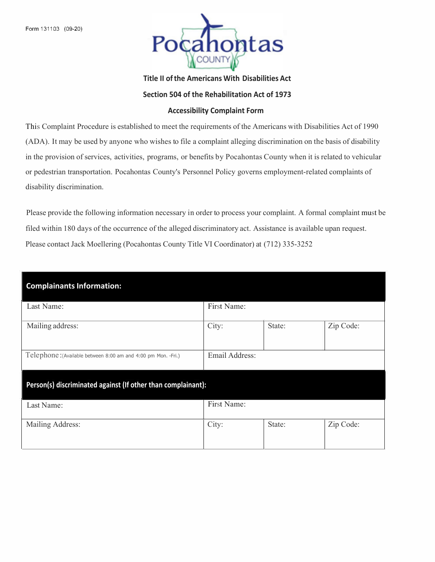

## **Title II of the Americans With Disabilities Act**

## **Section 504 of the Rehabilitation Act of 1973**

## **Accessibility Complaint Form**

This Complaint Procedure is established to meet the requirements of the Americans with Disabilities Act of 1990 (ADA). It may be used by anyone who wishes to file a complaint alleging discrimination on the basis of disability in the provision of services, activities, programs, or benefits by Pocahontas County when it is related to vehicular or pedestrian transportation. Pocahontas County's Personnel Policy governs employment-related complaints of disability discrimination.

Please provide the following information necessary in order to process your complaint. A formal complaint must be filed within 180 days of the occurrence of the alleged discriminatory act. Assistance is available upan request. Please contact Jack Moellering (Pocahontas County Title VI Coordinator) at (712) 335-3252

| <b>Complainants Information:</b>                              |                |        |           |
|---------------------------------------------------------------|----------------|--------|-----------|
| Last Name:                                                    | First Name:    |        |           |
| Mailing address:                                              | City:          | State: | Zip Code: |
| Telephone: (Available between 8:00 am and 4:00 pm Mon. -Fri.) | Email Address: |        |           |
| Person(s) discriminated against (If other than complainant):  |                |        |           |
| Last Name:                                                    | First Name:    |        |           |
| Mailing Address:                                              | City:          | State: | Zip Code: |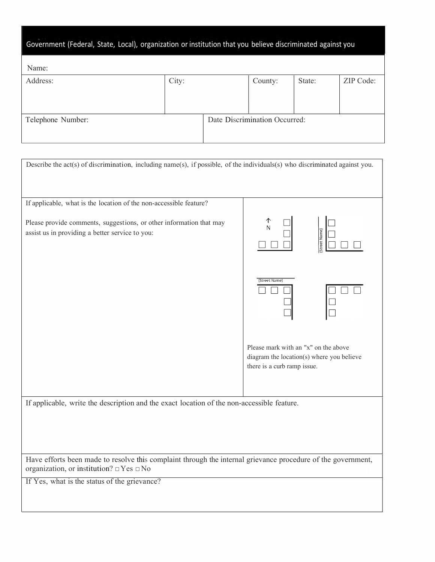| Government (Federal, State, Local), organization or institution that you believe discriminated against you |       |                               |        |           |
|------------------------------------------------------------------------------------------------------------|-------|-------------------------------|--------|-----------|
| Name:                                                                                                      |       |                               |        |           |
| Address:                                                                                                   | City: | County:                       | State: | ZIP Code: |
|                                                                                                            |       |                               |        |           |
|                                                                                                            |       |                               |        |           |
| Telephone Number:                                                                                          |       | Date Discrimination Occurred: |        |           |
|                                                                                                            |       |                               |        |           |

| Describe the act(s) of discrimination, including name(s), if possible, of the individuals(s) who discriminated against you.                                        |                                                                                                                  |  |
|--------------------------------------------------------------------------------------------------------------------------------------------------------------------|------------------------------------------------------------------------------------------------------------------|--|
| If applicable, what is the location of the non-accessible feature?                                                                                                 |                                                                                                                  |  |
| Please provide comments, suggestions, or other information that may<br>assist us in providing a better service to you:                                             | ${\sf N}$                                                                                                        |  |
|                                                                                                                                                                    | (Street Name)                                                                                                    |  |
|                                                                                                                                                                    | Please mark with an "x" on the above<br>diagram the location(s) where you believe<br>there is a curb ramp issue. |  |
| If applicable, write the description and the exact location of the non-accessible feature.                                                                         |                                                                                                                  |  |
| Have efforts been made to resolve this complaint through the internal grievance procedure of the government,<br>organization, or institution? $\Box$ Yes $\Box$ No |                                                                                                                  |  |

If Yes, what is the status of the grievance?